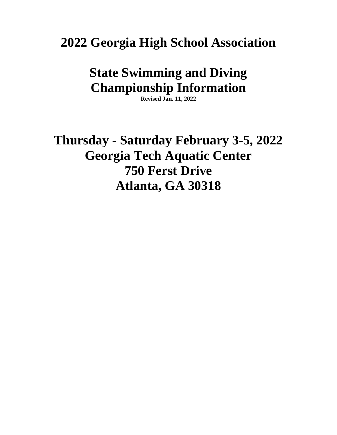**2022 Georgia High School Association**

# **State Swimming and Diving Championship Information**

**Revised Jan. 11, 2022**

**Thursday - Saturday February 3-5, 2022 Georgia Tech Aquatic Center 750 Ferst Drive Atlanta, GA 30318**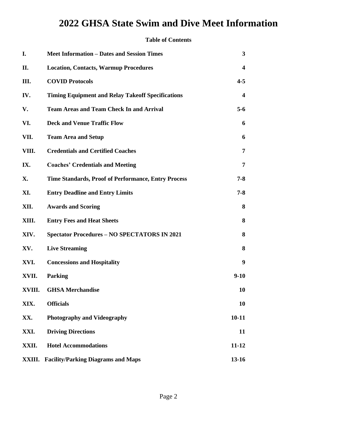#### **Table of Contents**

| I.     | <b>Meet Information – Dates and Session Times</b>          | 3         |
|--------|------------------------------------------------------------|-----------|
| П.     | <b>Location, Contacts, Warmup Procedures</b>               | 4         |
| Ш.     | <b>COVID Protocols</b>                                     | $4 - 5$   |
| IV.    | <b>Timing Equipment and Relay Takeoff Specifications</b>   | 4         |
| V.     | <b>Team Areas and Team Check In and Arrival</b>            | $5-6$     |
| VI.    | <b>Deck and Venue Traffic Flow</b>                         | 6         |
| VII.   | <b>Team Area and Setup</b>                                 | 6         |
| VIII.  | <b>Credentials and Certified Coaches</b>                   | 7         |
| IX.    | <b>Coaches' Credentials and Meeting</b>                    | 7         |
| Х.     | <b>Time Standards, Proof of Performance, Entry Process</b> | $7 - 8$   |
| XI.    | <b>Entry Deadline and Entry Limits</b>                     | $7 - 8$   |
| XII.   | <b>Awards and Scoring</b>                                  | 8         |
| XIII.  | <b>Entry Fees and Heat Sheets</b>                          | 8         |
| XIV.   | <b>Spectator Procedures - NO SPECTATORS IN 2021</b>        | 8         |
| XV.    | <b>Live Streaming</b>                                      | 8         |
| XVI.   | <b>Concessions and Hospitality</b>                         | 9         |
| XVII.  | <b>Parking</b>                                             | $9 - 10$  |
| XVIII. | <b>GHSA Merchandise</b>                                    | 10        |
| XIX.   | <b>Officials</b>                                           | 10        |
| XX.    | <b>Photography and Videography</b>                         | $10 - 11$ |
| XXI.   | <b>Driving Directions</b>                                  | 11        |
| XXII.  | <b>Hotel Accommodations</b>                                | $11 - 12$ |
| XXIII. | <b>Facility/Parking Diagrams and Maps</b>                  | $13 - 16$ |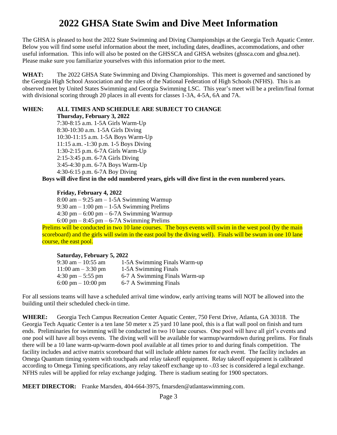The GHSA is pleased to host the 2022 State Swimming and Diving Championships at the Georgia Tech Aquatic Center. Below you will find some useful information about the meet, including dates, deadlines, accommodations, and other useful information. This info will also be posted on the GHSSCA and GHSA websites (ghssca.com and ghsa.net). Please make sure you familiarize yourselves with this information prior to the meet.

**WHAT:** The 2022 GHSA State Swimming and Diving Championships. This meet is governed and sanctioned by the Georgia High School Association and the rules of the National Federation of High Schools (NFHS). This is an observed meet by United States Swimming and Georgia Swimming LSC. This year's meet will be a prelim/final format with divisional scoring through 20 places in all events for classes 1-3A, 4-5A, 6A and 7A.

#### **WHEN: ALL TIMES AND SCHEDULE ARE SUBJECT TO CHANGE**

**Thursday, February 3, 2022**

7:30-8:15 a.m. 1-5A Girls Warm-Up 8:30-10:30 a.m. 1-5A Girls Diving 10:30-11:15 a.m. 1-5A Boys Warm-Up 11:15 a.m. -1:30 p.m. 1-5 Boys Diving 1:30-2:15 p.m. 6-7A Girls Warm-Up 2:15-3:45 p.m. 6-7A Girls Diving 3:45-4:30 p.m. 6-7A Boys Warm-Up 4:30-6:15 p.m. 6-7A Boy Diving

**Boys will dive first in the odd numbered years, girls will dive first in the even numbered years.**

#### **Friday, February 4, 2022**

8:00 am – 9:25 am – 1-5A Swimming Warmup  $9:30$  am  $-1:00$  pm  $-1-5A$  Swimming Prelims 4:30 pm – 6:00 pm – 6-7A Swimming Warmup 6:00 pm – 8:45 pm – 6-7A Swimming Prelims

Prelims will be conducted in two 10 lane courses. The boys events will swim in the west pool (by the main scoreboard) and the girls will swim in the east pool by the diving well). Finals will be swum in one 10 lane course, the east pool.

#### **Saturday, February 5, 2022**

| $9:30$ am $-10:55$ am | 1-5A Swimming Finals Warm-up  |
|-----------------------|-------------------------------|
| $11:00$ am $-3:30$ pm | 1-5A Swimming Finals          |
| 4:30 pm $-$ 5:55 pm   | 6-7 A Swimming Finals Warm-up |
| 6:00 pm $-10:00$ pm   | 6-7 A Swimming Finals         |

For all sessions teams will have a scheduled arrival time window, early arriving teams will NOT be allowed into the building until their scheduled check-in time.

**WHERE:** Georgia Tech Campus Recreation Center Aquatic Center, 750 Ferst Drive, Atlanta, GA 30318. The Georgia Tech Aquatic Center is a ten lane 50 meter x 25 yard 10 lane pool, this is a flat wall pool on finish and turn ends. Preliminaries for swimming will be conducted in two 10 lane courses. One pool will have all girl's events and one pool will have all boys events. The diving well will be available for warmup/warmdown during prelims. For finals there will be a 10 lane warm-up/warm-down pool available at all times prior to and during finals competition. The facility includes and active matrix scoreboard that will include athlete names for each event. The facility includes an Omega Quantum timing system with touchpads and relay takeoff equipment. Relay takeoff equipment is calibrated according to Omega Timing specifications, any relay takeoff exchange up to -.03 sec is considered a legal exchange. NFHS rules will be applied for relay exchange judging. There is stadium seating for 1900 spectators.

**MEET DIRECTOR:** Franke Marsden, 404-664-3975, fmarsden@atlantaswimming.com.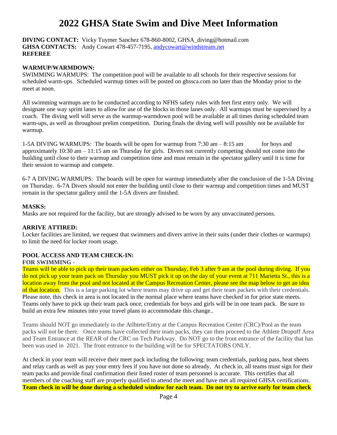#### **DIVING CONTACT:** Vicky Tuymer Sanchez 678-860-8002, [GHSA\\_diving@hotmail.com](mailto:GHSA_diving@hotmail.com) GHSA CONTACTS: Andy Cowart 478-457-7195[, andycowart@windstream.net](mailto:andycowart@windstream.net) **REFEREE**

#### **WARMUP/WARMDOWN:**

SWIMMING WARMUPS: The competition pool will be available to all schools for their respective sessions for scheduled warm-ups. Scheduled warmup times will be posted on ghssca.com no later than the Monday prior to the meet at noon.

All swimming warmups are to be conducted according to NFHS safety rules with feet first entry only. We will designate one way sprint lanes to allow for use of the blocks in those lanes only. All warmups must be supervised by a coach. The diving well will serve as the warmup-warmdown pool will be available at all times during scheduled team warm-ups, as well as throughout prelim competition. During finals the diving well will possibly not be available for warmup.

1-5A DIVING WARMUPS: The boards will be open for warmup from  $7:30$  am  $-8:15$  am for boys and approximately 10:30 am – 11:15 am on Thursday for girls. Divers not currently competing should not come into the building until close to their warmup and competition time and must remain in the spectator gallery until it is time for their session to warmup and compete.

6-7 A DIVING WARMUPS: The boards will be open for warmup immediately after the conclusion of the 1-5A Diving on Thursday. 6-7A Divers should not enter the building until close to their warmup and competition times and MUST remain in the spectator gallery until the 1-5A divers are finished.

#### **MASKS:**

Masks are not required for the facility, but are strongly advised to be worn by any unvaccinated persons.

#### **ARRIVE ATTIRED:**

Locker facilities are limited, we request that swimmers and divers arrive in their suits (under their clothes or warmups) to limit the need for locker room usage.

#### **POOL ACCESS AND TEAM CHECK-IN:**

#### **FOR SWIMMING -**

Teams will be able to pick up their team packets either on Thursday, Feb 3 after 9 am at the pool during diving. If you do not pick up your team pack on Thursday you MUST pick it up on the day of your event at 711 Marietta St., this is a location away from the pool and not located at the Campus Recreation Center, please see the map below to get an idea of that location. This is a large parking lot where teams may drive up and get their team packets with their credentials. Please note, this check in area is not located in the normal place where teams have checked in for prior state meets. Teams only have to pick up their team pack once, credentials for boys and girls will be in one team pack. Be sure to build an extra few minutes into your travel plans to accommodate this change..

Teams should NOT go immediately to the Atlhtete/Entry at the Campus Recreation Center (CRC)/Pool as the team packs will not be there. Once teams have collected their team packs, they can then proceed to the Athlete Dropoff Area and Team Entrance at the REAR of the CRC on Tech Parkway. Do NOT go to the front entrance of the facility that has been was used in 2021. The front entrance to the building will be for SPECTATORS ONLY.

At check in your team will receive their meet pack including the following: team credentials, parking pass, heat sheets and relay cards as well as pay your entry fees if you have not done so already. At check in, all teams must sign for their team packs and provide final confirmation their listed roster of team personnel is accurate. This certifies that all members of the coaching staff are properly qualified to attend the meet and have met all required GHSA certifications. **Team check in will be done during a scheduled window for each team. Do not try to arrive early for team check**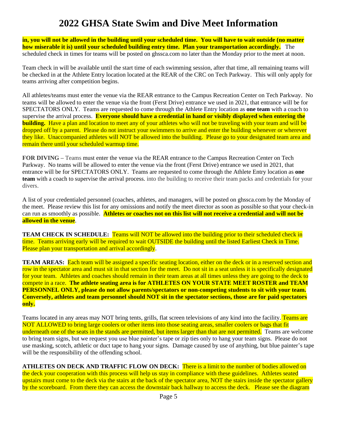**in, you will not be allowed in the building until your scheduled time. You will have to wait outside (no matter how miserable it is) until your scheduled building entry time. Plan your transportation accordingly.** The scheduled check in times for teams will be posted on ghssca.com no later than the Monday prior to the meet at noon.

Team check in will be available until the start time of each swimming session, after that time, all remaining teams will be checked in at the Athlete Entry location located at the REAR of the CRC on Tech Parkway. This will only apply for teams arriving after competition begins.

All athletes/teams must enter the venue via the REAR entrance to the Campus Recreation Center on Tech Parkway. No teams will be allowed to enter the venue via the front (Ferst Drive) entrance we used in 2021, that entrance will be for SPECTATORS ONLY. Teams are requested to come through the Athlete Entry location as **one team** with a coach to supervise the arrival process. **Everyone should have a credential in hand or visibly displayed when entering the building.** Have a plan and location to meet any of your athletes who will not be traveling with your team and will be dropped off by a parent. Please do not instruct your swimmers to arrive and enter the building whenever or wherever they like. Unaccompanied athletes will NOT be allowed into the building. Please go to your designated team area and remain there until your scheduled warmup time.

**FOR DIVING –** Teams must enter the venue via the REAR entrance to the Campus Recreation Center on Tech Parkway. No teams will be allowed to enter the venue via the front (Ferst Drive) entrance we used in 2021, that entrance will be for SPECTATORS ONLY. Teams are requested to come through the Athlete Entry location as **one team** with a coach to supervise the arrival process. into the building to receive their team packs and credentials for your divers.

A list of your credentialed personnel (coaches, athletes, and managers, will be posted on ghssca.com by the Monday of the meet. Please review this list for any omissions and notify the meet director as soon as possible so that your check-in can run as smoothly as possible. **Athletes or coaches not on this list will not receive a credential and will not be allowed in the venue**.

**TEAM CHECK IN SCHEDULE:** Teams will NOT be allowed into the building prior to their scheduled check in time. Teams arriving early will be required to wait OUTSIDE the building until the listed Earliest Check in Time. Please plan your transportation and arrival accordingly.

**TEAM AREAS:** Each team will be assigned a specific seating location, either on the deck or in a reserved section and row in the spectator area and must sit in that section for the meet. Do not sit in a seat unless it is specifically designated for your team. Athletes and coaches should remain in their team areas at all times unless they are going to the deck to compete in a race. **The athlete seating area is for ATHLETES ON YOUR STATE MEET ROSTER and TEAM PERSONNEL ONLY, please do not allow parents/spectators or non-competing students to sit with your team. Conversely, athletes and team personnel should NOT sit in the spectator sections, those are for paid spectators only.** 

Teams located in any areas may NOT bring tents, grills, flat screen televisions of any kind into the facility. Teams are NOT ALLOWED to bring large coolers or other items into those seating areas, smaller coolers or bags that fit underneath one of the seats in the stands are permitted, but items larger than that are not permitted. Teams are welcome to bring team signs, but we request you use blue painter's tape or zip ties only to hang your team signs. Please do not use masking, scotch, athletic or duct tape to hang your signs. Damage caused by use of anything, but blue painter's tape will be the responsibility of the offending school.

**ATHLETES ON DECK AND TRAFFIC FLOW ON DECK:** There is a limit to the number of bodies allowed on the deck your cooperation with this process will help us stay in compliance with these guidelines. Athletes seated upstairs must come to the deck via the stairs at the back of the spectator area, NOT the stairs inside the spectator gallery by the scoreboard. From there they can access the downstair back hallway to access the deck. Please see the diagram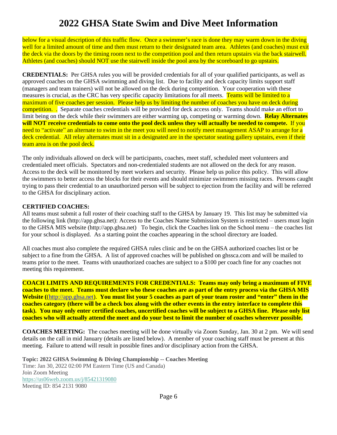below for a visual description of this traffic flow. Once a swimmer's race is done they may warm down in the diving well for a limited amount of time and then must return to their designated team area. Athletes (and coaches) must exit the deck via the doors by the timing room next to the competition pool and then return upstairs via the back stairwell. Athletes (and coaches) should NOT use the stairwell inside the pool area by the scoreboard to go upstairs.

**CREDENTIALS:** Per GHSA rules you will be provided credentials for all of your qualified participants, as well as approved coaches on the GHSA swimming and diving list. Due to facility and deck capacity limits support staff (managers and team trainers) will not be allowed on the deck during competition. Your cooperation with these measures is crucial, as the CRC has very specific capacity limitations for all meets. Teams will be limited to a maximum of five coaches per session. Please help us by limiting the number of coaches you have on deck during competition. . Separate coaches credentials will be provided for deck access only. Teams should make an effort to limit being on the deck while their swimmers are either warming up, competing or warming down. **Relay Alternates will NOT receive credentials to come onto the pool deck unless they will actually be needed to compete.** If you need to "activate" an alternate to swim in the meet you will need to notify meet management ASAP to arrange for a deck credential. All relay alternates must sit in a designated are in the spectator seating gallery upstairs, even if their team area is on the pool deck.

The only individuals allowed on deck will be participants, coaches, meet staff, scheduled meet volunteers and credentialed meet officials. Spectators and non-credentialed students are not allowed on the deck for any reason. Access to the deck will be monitored by meet workers and security. Please help us police this policy. This will allow the swimmers to better access the blocks for their events and should minimize swimmers missing races.Persons caught trying to pass their credential to an unauthorized person will be subject to ejection from the facility and will be referred to the GHSA for disciplinary action.

#### **CERTIFIED COACHES:**

All teams must submit a full roster of their coaching staff to the GHSA by January 19. This list may be submitted via the following link (http://app.ghsa.net): Access to the Coaches Name Submission System is restricted – users must login to the GHSA MIS website (http://app.ghsa.net) To begin, click the Coaches link on the School menu – the coaches list for your school is displayed. As a starting point the coaches appearing in the school directory are loaded.

All coaches must also complete the required GHSA rules clinic and be on the GHSA authorized coaches list or be subject to a fine from the GHSA. A list of approved coaches will be published on ghssca.com and will be mailed to teams prior to the meet. Teams with unauthorized coaches are subject to a \$100 per coach fine for any coaches not meeting this requirement.

**COACH LIMITS AND REQUIREMENTS FOR CREDENTIALS: Teams may only bring a maximum of FIVE coaches to the meet. Teams must declare who these coaches are as part of the entry process via the GHSA MIS Website (**[\(http://app.ghsa.net\)](http://app.ghsa.net/). **You must list your 5 coaches as part of your team roster and "enter" them in the coaches category (there will be a check box along with the other events in the entry interface to complete this task). You may only enter certified coaches, uncertified coaches will be subject to a GHSA fine. Please only list coaches who will actually attend the meet and do your best to limit the number of coaches wherever possible.**

**COACHES MEETING:** The coaches meeting will be done virtually via Zoom Sunday, Jan. 30 at 2 pm. We will send details on the call in mid January (details are listed below). A member of your coaching staff must be present at this meeting. Failure to attend will result in possible fines and/or disciplinary action from the GHSA.

**Topic: 2022 GHSA Swimming & Diving Championship -- Coaches Meeting** Time: Jan 30, 2022 02:00 PM Eastern Time (US and Canada) Join Zoom Meeting <https://us06web.zoom.us/j/85421319080> Meeting ID: 854 2131 9080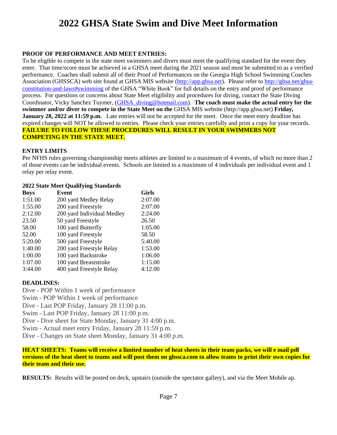#### **PROOF OF PERFORMANCE AND MEET ENTRIES:**

To be eligible to compete in the state meet swimmers and divers must meet the qualifying standard for the event they enter. That time/score must be achieved in a GHSA meet during the 2021 season and must be submitted to as a verified performance. Coaches shall submit all of their Proof of Performances on the Georgia High School Swimming Coaches Association (GHSSCA) web site found at GHSA MIS website [\(http://app.ghsa.net\)](http://app.ghsa.net/). Please refer t[o http://ghsa.net/ghsa](http://ghsa.net/ghsa-constitution-and-laws#swimming)[constitution-and-laws#swimming](http://ghsa.net/ghsa-constitution-and-laws#swimming) of the GHSA "White Book" for full details on the entry and proof of performance process. For questions or concerns about State Meet eligibility and procedures for diving, contact the State Diving Coordinator, Vicky Sanchez Tuymer, [\(GHSA\\_diving@hotmail.com\)](mailto:GHSA_diving@hotmail.com). **The coach must make the actual entry for the swimmer and/or diver to compete in the State Meet on the** GHSA MIS website (http://app.ghsa.net) **Friday, January 28, 2022 at 11:59 p.m.** Late entries will not be accepted for the meet. Once the meet entry deadline has expired changes will NOT be allowed to entries. Please check your entries carefully and print a copy for your records. **FAILURE TO FOLLOW THESE PROCEDURES WILL RESULT IN YOUR SWIMMERS NOT COMPETING IN THE STATE MEET.**

#### **ENTRY LIMITS**

Per NFHS rules governing championship meets athletes are limited to a maximum of 4 events, of which no more than 2 of those events can be individual events. Schools are limited to a maximum of 4 individuals per individual event and 1 relay per relay event.

#### **2022 State Meet Qualifying Standards**

| <b>Boys</b> | Event                      | <b>Girls</b> |
|-------------|----------------------------|--------------|
| 1:51.00     | 200 yard Medley Relay      | 2:07.00      |
| 1:55.00     | 200 yard Freestyle         | 2:07.00      |
| 2:12.00     | 200 yard Individual Medley | 2:24.00      |
| 23.50       | 50 yard Freestyle          | 26.50        |
| 58.00       | 100 yard Butterfly         | 1:05.00      |
| 52.00       | 100 yard Freestyle         | 58.50        |
| 5:20.00     | 500 yard Freestyle         | 5:40.00      |
| 1:40.00     | 200 yard Freestyle Relay   | 1:53.00      |
| 1:00.00     | 100 yard Backstroke        | 1:06.00      |
| 1:07.00     | 100 yard Breaststroke      | 1:15.00      |
| 3:44.00     | 400 yard Freestyle Relay   | 4:12.00      |

#### **DEADLINES:**

Dive - POP Within 1 week of performance Swim - POP Within 1 week of performance Dive - Last POP Friday, January 28 11:00 p.m. Swim - Last POP Friday, January 28 11:00 p.m. Dive - Dive sheet for State Monday, January 31 4:00 p.m. Swim - Actual meet entry Friday, January 28 11:59 p.m. Dive - Changes on State sheet Monday, January 31 4:00 p.m.

**HEAT SHEETS: Teams will receive a limited number of heat sheets in their team packs, we will e mail pdf versions of the heat sheet to teams and will post them on ghssca.com to allow teams to print their own copies for their team and their use.**

**RESULTS:** Results will be posted on deck, upstairs (outside the spectator gallery), and via the Meet Mobile ap.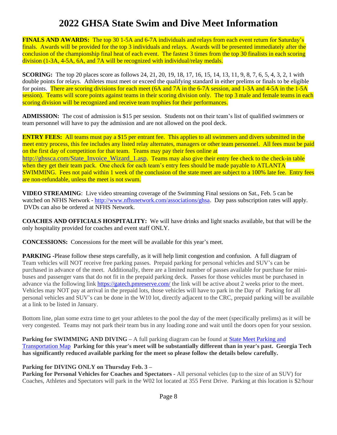**FINALS AND AWARDS:** The top 30 1-5A and 6-7A individuals and relays from each event return for Saturday's finals. Awards will be provided for the top 3 individuals and relays. Awards will be presented immediately after the conclusion of the championship final heat of each event. The fastest 3 times from the top 30 finalists in each scoring division (1-3A, 4-5A, 6A, and 7A will be recognized with individual/relay medals.

**SCORING:** The top 20 places score as follows 24, 21, 20, 19, 18, 17, 16, 15, 14, 13, 11, 9, 8, 7, 6, 5, 4, 3, 2, 1 with double points for relays. Athletes must meet or exceed the qualifying standard in either prelims or finals to be eligible for points. There are scoring divisions for each meet (6A and 7A in the 6-7A session, and 1-3A and 4-5A in the 1-5A session). Teams will score points against teams in their scoring division only. The top 3 male and female teams in each scoring division will be recognized and receive team trophies for their performances.

**ADMISSION:** The cost of admission is \$15 per session. Students not on their team's list of qualified swimmers or team personnel will have to pay the admission and are not allowed on the pool deck.

**ENTRY FEES:** All teams must pay a \$15 per entrant fee. This applies to all swimmers and divers submitted in the meet entry process, this fee includes any listed relay alternates, managers or other team personnel. All fees must be paid on the first day of competition for that team. Teams may pay their fees online at [http://ghssca.com/State\\_Invoice\\_Wizard\\_1.asp.](http://ghssca.com/State_Invoice_Wizard_1.asp) Teams may also give their entry fee check to the check-in table when they get their team pack. One check for each team's entry fees should be made payable to ATLANTA SWIMMING. Fees not paid within 1 week of the conclusion of the state meet are subject to a 100% late fee. Entry fees are non-refundable, unless the meet is not swum.

**VIDEO STREAMING**: Live video streaming coverage of the Swimming Final sessions on Sat., Feb. 5 can be watched on NFHS Network - [http://www.nfhsnetwork.com/associations/ghsa.](http://www.nfhsnetwork.com/associations/ghsa) Day pass subscription rates will apply. DVDs can also be ordered at NFHS Network.

**COACHES AND OFFICIALS HOSPITALITY:** We will have drinks and light snacks available, but that will be the only hospitality provided for coaches and event staff ONLY.

**CONCESSIONS:** Concessions for the meet will be available for this year's meet.

**PARKING -**Please follow these steps carefully, as it will help limit congestion and confusion. A full diagram of Team vehicles will NOT receive free parking passes. Prepaid parking for personal vehicles and SUV's can be purchased in advance of the meet. Additionally, there are a limited number of passes available for purchase for minibuses and passenger vans that do not fit in the prepaid parking deck. Passes for those vehicles must be purchased in advance via the following link <https://gatech.pmreserve.com/> the link will be active about 2 weeks prior to the meet. Vehicles may NOT pay at arrival in the prepaid lots, those vehicles will have to park in the Day of Parking for all personal vehicles and SUV's can be done in the W10 lot, directly adjacent to the CRC, prepaid parking will be available at a link to be listed in January.

Bottom line, plan some extra time to get your athletes to the pool the day of the meet (specifically prelims) as it will be very congested. Teams may not park their team bus in any loading zone and wait until the doors open for your session.

**Parking for SWIMMING AND DIVING – A full parking diagram can be found at State Meet Parking and** [Transportation Map](https://www.google.com/maps/d/edit?mid=1oBMVUfZOlVgD10mJ1Y097NxiaNpgu4FS&usp=sharing) **Parking for this year's meet will be substantially different than in year's past. Georgia Tech has significantly reduced available parking for the meet so please follow the details below carefully.** 

#### **Parking for DIVING ONLY on Thursday Feb. 3 –**

**Parking for Personal Vehicles for Coaches and Spectators -** All personal vehicles (up to the size of an SUV) for Coaches, Athletes and Spectators will park in the W02 lot located at 355 Ferst Drive. Parking at this location is \$2/hour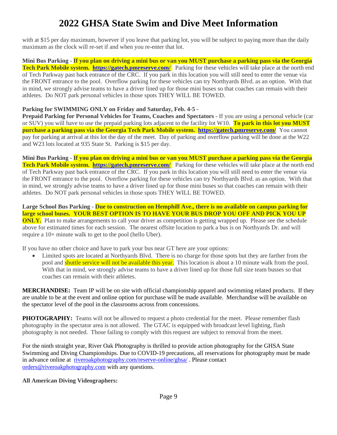with at \$15 per day maximum, however if you leave that parking lot, you will be subject to paying more than the daily maximum as the clock will re-set if and when you re-enter that lot.

**Mini Bus Parking - If you plan on driving a mini bus or van you MUST purchase a parking pass via the Georgia Tech Park Mobile system. <https://gatech.pmreserve.com/>** Parking for these vehicles will take place at the north end of Tech Parkway past back entrance of the CRC. If you park in this location you will still need to enter the venue via the FRONT entrance to the pool. Overflow parking for these vehicles can try Northyards Blvd. as an option. With that in mind, we strongly advise teams to have a driver lined up for those mini buses so that coaches can remain with their athletes. Do NOT park personal vehicles in those spots THEY WILL BE TOWED.

#### **Parking for SWIMMING ONLY on Friday and Saturday, Feb. 4-5 -**

**Prepaid Parking for Personal Vehicles for Teams, Coaches and Spectators - If you are using a personal vehicle (car** or SUV) you will have to use the prepaid parking lots adjacent to the facility lot W10. **To park in this lot you MUST purchase a parking pass via the Georgia Tech Park Mobile system. <https://gatech.pmreserve.com/>** You cannot pay for parking at arrival at this lot the day of the meet. Day of parking and overflow parking will be done at the W22 and W23 lots located at 935 State St. Parking is \$15 per day.

**Mini Bus Parking - If you plan on driving a mini bus or van you MUST purchase a parking pass via the Georgia Tech Park Mobile system. <https://gatech.pmreserve.com/>** Parking for these vehicles will take place at the north end of Tech Parkway past back entrance of the CRC. If you park in this location you will still need to enter the venue via the FRONT entrance to the pool. Overflow parking for these vehicles can try Northyards Blvd. as an option. With that in mind, we strongly advise teams to have a driver lined up for those mini buses so that coaches can remain with their athletes. Do NOT park personal vehicles in those spots THEY WILL BE TOWED.

**Large School Bus Parking** - **Due to construction on Hemphill Ave., there is no available on campus parking for large school buses. YOUR BEST OPTION IS TO HAVE YOUR BUS DROP YOU OFF AND PICK YOU UP ONLY.** Plan to make arrangements to call your driver as competition is getting wrapped up. Please see the schedule above for estimated times for each session. The nearest offsite location to park a bus is on Northyards Dr. and will require a 10+ minute walk to get to the pool (hello Uber).

If you have no other choice and have to park your bus near GT here are your options:

• Limited spots are located at Northyards Blvd. There is no charge for those spots but they are farther from the pool and shuttle service will not be available this year. This location is about a 10 minute walk from the pool. With that in mind, we strongly advise teams to have a driver lined up for those full size team busses so that coaches can remain with their athletes.

**MERCHANDISE:** Team IP will be on site with official championship apparel and swimming related products. If they are unable to be at the event and online option for purchase will be made available. Merchandise will be available on the spectator level of the pool in the classrooms across from concessions.

**PHOTOGRAPHY:** Teams will not be allowed to request a photo credential for the meet. Please remember flash photography in the spectator area is not allowed. The GTAC is equipped with broadcast level lighting, flash photography is not needed. Those failing to comply with this request are subject to removal from the meet.

For the ninth straight year, River Oak Photography is thrilled to provide action photography for the GHSA State Swimming and Diving Championships. Due to COVID-19 precautions, all reservations for photography must be made in advance online at [riveroakphotography.com/reserve-online/ghsa/](https://riveroakphotography.com/reserve-online/ghsa/) . Please contact [orders@riveroakphotography.com](mailto:orders@riveroakphotography.com) with any questions.

**All American Diving Videographers:**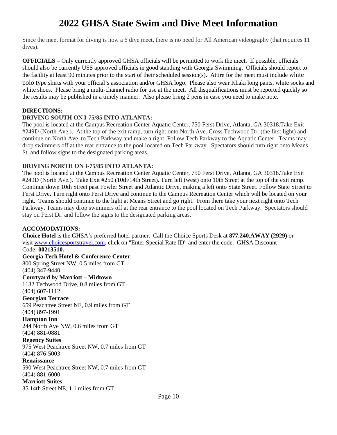Since the meet format for diving is now a 6 dive meet, there is no need for All American videography (that requires 11 dives).

**OFFICIALS –** Only currently approved GHSA officials will be permitted to work the meet. If possible, officials should also be currently USS approved officials in good standing with Georgia Swimming. Officials should report to the facility at least 90 minutes prior to the start of their scheduled session(s). Attire for the meet must include white polo type shirts with your official's association and/or GHSA logo. Please also wear Khaki long pants, white socks and white shoes. Please bring a multi-channel radio for use at the meet. All disqualifications must be reported quickly so the results may be published in a timely manner. Also please bring 2 pens in case you need to make note.

#### **DIRECTIONS:**

#### **DRIVING SOUTH ON I-75/85 INTO ATLANTA:**

The pool is located at the Campus Recreation Center Aquatic Center, 750 Ferst Drive, Atlanta, GA 30318.Take Exit #249D (North Ave.). At the top of the exit ramp, turn right onto North Ave. Cross Techwood Dr. (the first light) and continue on North Ave. to Tech Parkway and make a right. Follow Tech Parkway to the Aquatic Center. Teams may drop swimmers off at the rear entrance to the pool located on Tech Parkway. Spectators should turn right onto Means St. and follow signs to the designated parking areas.

#### **DRIVING NORTH ON I-75/85 INTO ATLANTA:**

The pool is located at the Campus Recreation Center Aquatic Center, 750 Ferst Drive, Atlanta, GA 30318.Take Exit #249D (North Ave.). Take Exit #250 (10th/14th Street). Turn left (west) onto 10th Street at the top of the exit ramp. Continue down 10th Street past Fowler Street and Atlantic Drive, making a left onto State Street. Follow State Street to Ferst Drive. Turn right onto Ferst Drive and continue to the Campus Recreation Center which will be located on your right. Teams should continue to the light at Means Street and go right. From there take your next right onto Tech Parkway. Teams may drop swimmers off at the rear entrance to the pool located on Tech Parkway. Spectators should stay on Ferst Dr. and follow the signs to the designated parking areas.

#### **ACCOMODATIONS:**

**Choice Hotel** is the GHSA's preferred hotel partner. Call the Choice Sports Desk at **877.240.AWAY (2929)** or visit [www.choicesportstravel.com,](http://www.choicesportstravel.com/) click on "Enter Special Rate ID" and enter the code. GHSA Discount Code: **00213510.**

**Georgia Tech Hotel & Conference Center**

800 Spring Street NW, 0.5 miles from GT (404) 347-9440

#### **Courtyard by Marriott – Midtown**

1132 Techwood Drive, 0.8 miles from GT (404) 607-1112

#### **Georgian Terrace**

659 Peachtree Street NE, 0.9 miles from GT (404) 897-1991

#### **Hampton Inn**

244 North Ave NW, 0.6 miles from GT (404) 881-0881

**Regency Suites**

975 West Peachtree Street NW, 0.7 miles from GT

#### (404) 876-5003

#### **Renaissance**

590 West Peachtree Street NW, 0.7 miles from GT (404) 881-6000

#### **Marriott Suites**

35 14th Street NE, 1.1 miles from GT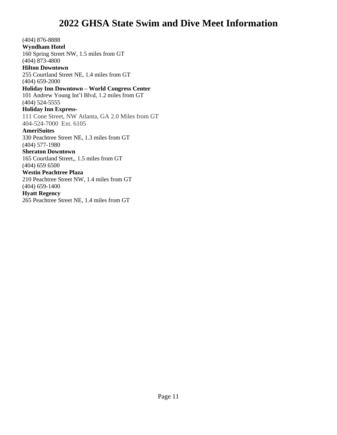(404) 876-8888 **Wyndham Hotel** 160 Spring Street NW, 1.5 miles from GT (404) 873-4800 **Hilton Downtown** 255 Courtland Street NE, 1.4 miles from GT (404) 659-2000 **Holiday Inn Downtown – World Congress Center** 101 Andrew Young Int'l Blvd, 1.2 miles from GT (404) 524-5555 **Holiday Inn Express-**111 Cone Street, NW Atlanta, GA 2.0 Miles from GT 404-524-7000 Ext. 6105 **AmeriSuites** 330 Peachtree Street NE, 1.3 miles from GT (404) 577-1980 **Sheraton Downtown** 165 Courtland Street,, 1.5 miles from GT (404) 659 6500 **Westin Peachtree Plaza** 210 Peachtree Street NW, 1.4 miles from GT (404) 659-1400 **Hyatt Regency** 265 Peachtree Street NE, 1.4 miles from GT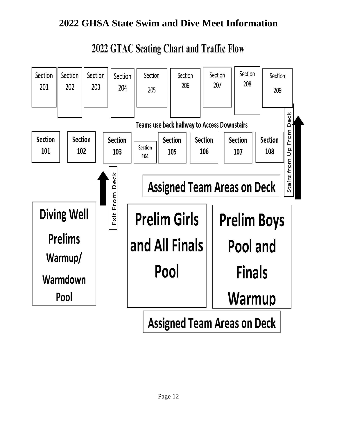

# 2022 GTAC Seating Chart and Traffic Flow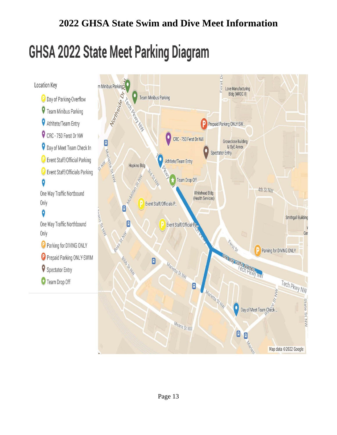# **GHSA 2022 State Meet Parking Diagram**